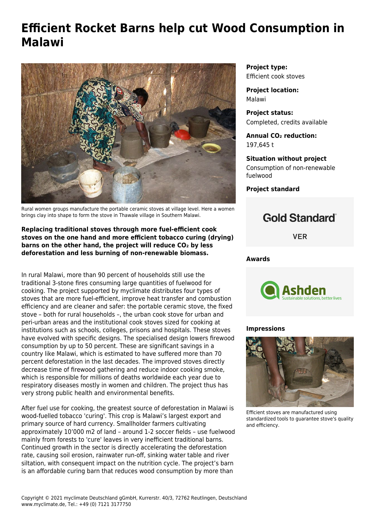# **Efficient Rocket Barns help cut Wood Consumption in Malawi**



Rural women groups manufacture the portable ceramic stoves at village level. Here a women brings clay into shape to form the stove in Thawale village in Southern Malawi.

## **Replacing traditional stoves through more fuel-efficient cook stoves on the one hand and more efficient tobacco curing (drying) barns on the other hand, the project will reduce CO₂ by less deforestation and less burning of non-renewable biomass.**

In rural Malawi, more than 90 percent of households still use the traditional 3-stone fires consuming large quantities of fuelwood for cooking. The project supported by myclimate distributes four types of stoves that are more fuel-efficient, improve heat transfer and combustion efficiency and are cleaner and safer: the portable ceramic stove, the fixed stove – both for rural households –, the urban cook stove for urban and peri-urban areas and the institutional cook stoves sized for cooking at institutions such as schools, colleges, prisons and hospitals. These stoves have evolved with specific designs. The specialised design lowers firewood consumption by up to 50 percent. These are significant savings in a country like Malawi, which is estimated to have suffered more than 70 percent deforestation in the last decades. The improved stoves directly decrease time of firewood gathering and reduce indoor cooking smoke, which is responsible for millions of deaths worldwide each year due to respiratory diseases mostly in women and children. The project thus has very strong public health and environmental benefits.

After fuel use for cooking, the greatest source of deforestation in Malawi is wood-fuelled tobacco 'curing'. This crop is Malawi's largest export and primary source of hard currency. Smallholder farmers cultivating approximately 10'000 m2 of land – around 1-2 soccer fields – use fuelwood mainly from forests to 'cure' leaves in very inefficient traditional barns. Continued growth in the sector is directly accelerating the deforestation rate, causing soil erosion, rainwater run-off, sinking water table and river siltation, with consequent impact on the nutrition cycle. The project's barn is an affordable curing barn that reduces wood consumption by more than

**Project type:** Efficient cook stoves

**Project location:** Malawi

**Project status:** Completed, credits available

**Annual CO₂ reduction:** 197,645 t

**Situation without project** Consumption of non-renewable fuelwood

**Project standard**

## **Gold Standard**®

**VER** 

#### **Awards**



## **Impressions**



Efficient stoves are manufactured using standardized tools to guarantee stove's quality and efficiency.